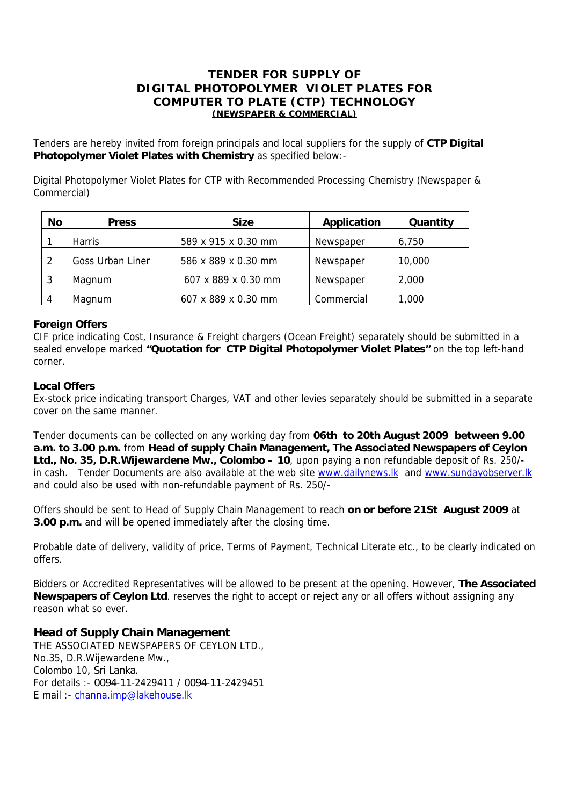## **TENDER FOR SUPPLY OF DIGITAL PHOTOPOLYMER VIOLET PLATES FOR COMPUTER TO PLATE (CTP) TECHNOLOGY (NEWSPAPER & COMMERCIAL)**

Tenders are hereby invited from foreign principals and local suppliers for the supply of **CTP Digital Photopolymer Violet Plates with Chemistry** as specified below:-

Digital Photopolymer Violet Plates for CTP with Recommended Processing Chemistry (Newspaper & Commercial)

| <b>No</b> | <b>Press</b>            | <b>Size</b>         | Application | Quantity |
|-----------|-------------------------|---------------------|-------------|----------|
|           | <b>Harris</b>           | 589 x 915 x 0.30 mm | Newspaper   | 6,750    |
|           | <b>Goss Urban Liner</b> | 586 x 889 x 0.30 mm | Newspaper   | 10,000   |
|           | Magnum                  | 607 x 889 x 0.30 mm | Newspaper   | 2,000    |
|           | Magnum                  | 607 x 889 x 0.30 mm | Commercial  | 1,000    |

## **Foreign Offers**

CIF price indicating Cost, Insurance & Freight chargers (Ocean Freight) separately should be submitted in a sealed envelope marked **"Quotation for CTP Digital Photopolymer Violet Plates"** on the top left-hand corner.

## **Local Offers**

Ex-stock price indicating transport Charges, VAT and other levies separately should be submitted in a separate cover on the same manner.

Tender documents can be collected on any working day from **06th to 20th August 2009 between 9.00 a.m. to 3.00 p.m.** from **Head of supply Chain Management, The Associated Newspapers of Ceylon Ltd., No. 35, D.R.Wijewardene Mw., Colombo – 10**, upon paying a non refundable deposit of Rs. 250/ in cash. Tender Documents are also available at the web site [www.dailynews.lk](http://www.dailynews.lk/) and [www.sundayobserver.lk](http://www.sundayobserver.lk/) and could also be used with non-refundable payment of Rs. 250/-

Offers should be sent to Head of Supply Chain Management to reach **on or before 21St August 2009** at **3.00 p.m.** and will be opened immediately after the closing time.

Probable date of delivery, validity of price, Terms of Payment, Technical Literate etc., to be clearly indicated on offers.

Bidders or Accredited Representatives will be allowed to be present at the opening. However, **The Associated Newspapers of Ceylon Ltd**. reserves the right to accept or reject any or all offers without assigning any reason what so ever.

## **Head of Supply Chain Management**

THE ASSOCIATED NEWSPAPERS OF CEYLON LTD., No.35, D.R.Wijewardene Mw., Colombo 10, Sri Lanka. For details :- 0094-11-2429411 / 0094-11-2429451 E mail :- [channa.imp@lakehouse.lk](mailto:channa.imp@lakehouse.lk)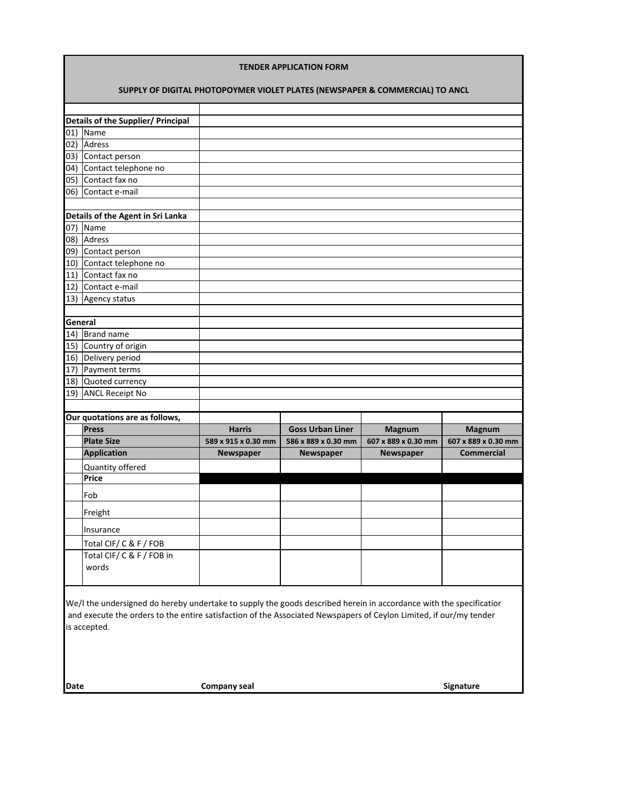| <b>TENDER APPLICATION FORM</b><br>SUPPLY OF DIGITAL PHOTOPOYMER VIOLET PLATES (NEWSPAPER & COMMERCIAL) TO ANCL                                                                                                                                           |                     |                         |                     |                                          |  |  |  |  |
|----------------------------------------------------------------------------------------------------------------------------------------------------------------------------------------------------------------------------------------------------------|---------------------|-------------------------|---------------------|------------------------------------------|--|--|--|--|
|                                                                                                                                                                                                                                                          |                     |                         |                     |                                          |  |  |  |  |
|                                                                                                                                                                                                                                                          |                     |                         |                     |                                          |  |  |  |  |
| Details of the Supplier/ Principal<br>01) Name                                                                                                                                                                                                           |                     |                         |                     |                                          |  |  |  |  |
| $\overline{02)}$ Adress                                                                                                                                                                                                                                  |                     |                         |                     |                                          |  |  |  |  |
| 03) Contact person                                                                                                                                                                                                                                       |                     |                         |                     |                                          |  |  |  |  |
| 04) Contact telephone no                                                                                                                                                                                                                                 |                     |                         |                     |                                          |  |  |  |  |
| 05) Contact fax no                                                                                                                                                                                                                                       |                     |                         |                     |                                          |  |  |  |  |
| 06) Contact e-mail                                                                                                                                                                                                                                       |                     |                         |                     |                                          |  |  |  |  |
|                                                                                                                                                                                                                                                          |                     |                         |                     |                                          |  |  |  |  |
| Details of the Agent in Sri Lanka                                                                                                                                                                                                                        |                     |                         |                     |                                          |  |  |  |  |
| 07) Name                                                                                                                                                                                                                                                 |                     |                         |                     |                                          |  |  |  |  |
| 08) Adress                                                                                                                                                                                                                                               |                     |                         |                     |                                          |  |  |  |  |
| 09) Contact person                                                                                                                                                                                                                                       |                     |                         |                     |                                          |  |  |  |  |
| 10) Contact telephone no                                                                                                                                                                                                                                 |                     |                         |                     |                                          |  |  |  |  |
| 11) Contact fax no                                                                                                                                                                                                                                       |                     |                         |                     |                                          |  |  |  |  |
| 12) Contact e-mail                                                                                                                                                                                                                                       |                     |                         |                     |                                          |  |  |  |  |
| 13) Agency status                                                                                                                                                                                                                                        |                     |                         |                     |                                          |  |  |  |  |
|                                                                                                                                                                                                                                                          |                     |                         |                     |                                          |  |  |  |  |
| General                                                                                                                                                                                                                                                  |                     |                         |                     |                                          |  |  |  |  |
| 14) Brand name                                                                                                                                                                                                                                           |                     |                         |                     |                                          |  |  |  |  |
| 15) Country of origin                                                                                                                                                                                                                                    |                     |                         |                     |                                          |  |  |  |  |
| 16) Delivery period                                                                                                                                                                                                                                      |                     |                         |                     |                                          |  |  |  |  |
| 17) Payment terms                                                                                                                                                                                                                                        |                     |                         |                     |                                          |  |  |  |  |
| 18) Quoted currency                                                                                                                                                                                                                                      |                     |                         |                     |                                          |  |  |  |  |
| 19) ANCL Receipt No                                                                                                                                                                                                                                      |                     |                         |                     |                                          |  |  |  |  |
|                                                                                                                                                                                                                                                          |                     |                         |                     |                                          |  |  |  |  |
| Our quotations are as follows,                                                                                                                                                                                                                           |                     |                         |                     |                                          |  |  |  |  |
| <b>Press</b>                                                                                                                                                                                                                                             | <b>Harris</b>       | <b>Goss Urban Liner</b> | Magnum              | Magnum                                   |  |  |  |  |
| <b>Plate Size</b><br><b>Application</b>                                                                                                                                                                                                                  | 589 x 915 x 0.30 mm | 586 x 889 x 0.30 mm     | 607 x 889 x 0.30 mm | 607 x 889 x 0.30 mm<br><b>Commercial</b> |  |  |  |  |
|                                                                                                                                                                                                                                                          | Newspaper           | Newspaper               | Newspaper           |                                          |  |  |  |  |
| Quantity offered<br><b>Price</b>                                                                                                                                                                                                                         |                     |                         |                     |                                          |  |  |  |  |
|                                                                                                                                                                                                                                                          |                     |                         |                     |                                          |  |  |  |  |
| Fob                                                                                                                                                                                                                                                      |                     |                         |                     |                                          |  |  |  |  |
| Freight                                                                                                                                                                                                                                                  |                     |                         |                     |                                          |  |  |  |  |
| Insurance                                                                                                                                                                                                                                                |                     |                         |                     |                                          |  |  |  |  |
| Total CIF/ C & F / FOB                                                                                                                                                                                                                                   |                     |                         |                     |                                          |  |  |  |  |
| Total CIF/ C & F / FOB in                                                                                                                                                                                                                                |                     |                         |                     |                                          |  |  |  |  |
| words                                                                                                                                                                                                                                                    |                     |                         |                     |                                          |  |  |  |  |
| We/I the undersigned do hereby undertake to supply the goods described herein in accordance with the specificatior<br>and execute the orders to the entire satisfaction of the Associated Newspapers of Ceylon Limited, if our/my tender<br>is accepted. |                     |                         |                     |                                          |  |  |  |  |

**Date** Company seal Signature